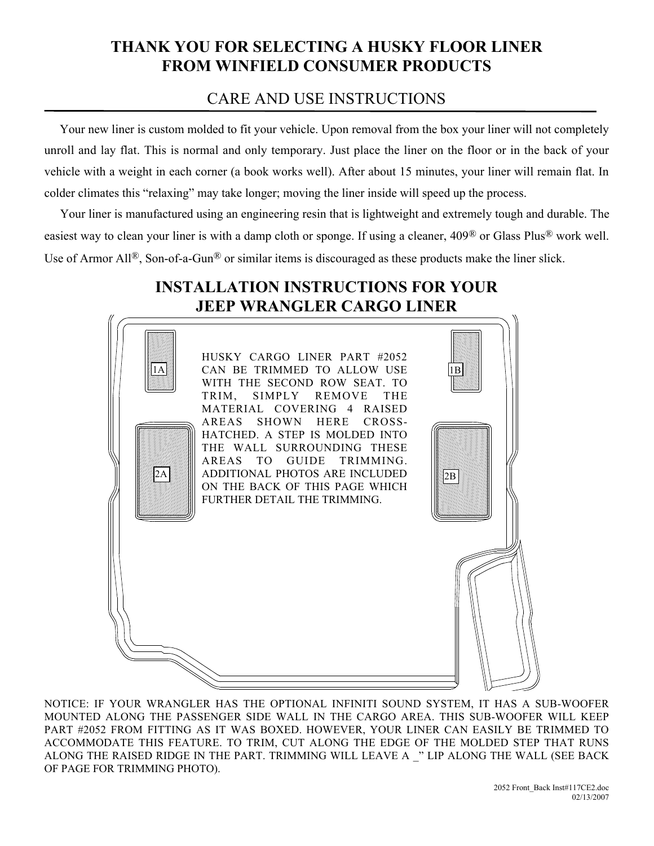## THANK YOU FOR SELECTING A HUSKY FLOOR LINER FROM WINFIELD CONSUMER PRODUCTS

## CARE AND USE INSTRUCTIONS

 Your new liner is custom molded to fit your vehicle. Upon removal from the box your liner will not completely unroll and lay flat. This is normal and only temporary. Just place the liner on the floor or in the back of your vehicle with a weight in each corner (a book works well). After about 15 minutes, your liner will remain flat. In colder climates this "relaxing" may take longer; moving the liner inside will speed up the process.

Your liner is manufactured using an engineering resin that is lightweight and extremely tough and durable. The easiest way to clean your liner is with a damp cloth or sponge. If using a cleaner, 409® or Glass Plus® work well. Use of Armor All<sup>®</sup>, Son-of-a-Gun<sup>®</sup> or similar items is discouraged as these products make the liner slick.

## INSTALLATION INSTRUCTIONS FOR YOUR JEEP WRANGLER CARGO LINER



NOTICE: IF YOUR WRANGLER HAS THE OPTIONAL INFINITI SOUND SYSTEM, IT HAS A SUB-WOOFER MOUNTED ALONG THE PASSENGER SIDE WALL IN THE CARGO AREA. THIS SUB-WOOFER WILL KEEP PART #2052 FROM FITTING AS IT WAS BOXED. HOWEVER, YOUR LINER CAN EASILY BE TRIMMED TO ACCOMMODATE THIS FEATURE. TO TRIM, CUT ALONG THE EDGE OF THE MOLDED STEP THAT RUNS ALONG THE RAISED RIDGE IN THE PART. TRIMMING WILL LEAVE A \_" LIP ALONG THE WALL (SEE BACK OF PAGE FOR TRIMMING PHOTO).